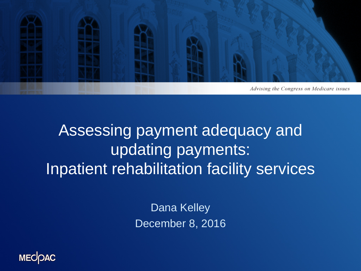

### Assessing payment adequacy and updating payments: Inpatient rehabilitation facility services

Dana Kelley December 8, 2016

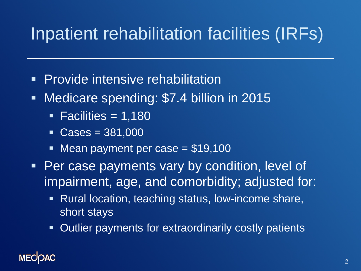# Inpatient rehabilitation facilities (IRFs)

- **Provide intensive rehabilitation**
- **Medicare spending: \$7.4 billion in 2015** 
	- $\blacksquare$  Facilities = 1,180
	- $\textdegree$  Cases = 381,000
	- Mean payment per case  $= $19,100$
- **Per case payments vary by condition, level of** impairment, age, and comorbidity; adjusted for:
	- **Rural location, teaching status, low-income share,** short stays
	- Outlier payments for extraordinarily costly patients

### **MECK**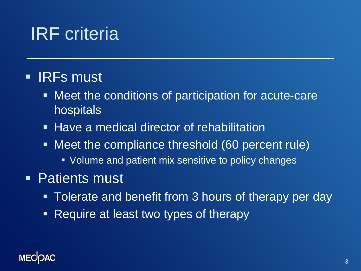## IRF criteria

### **IRFs must**

- Meet the conditions of participation for acute-care hospitals
- **Have a medical director of rehabilitation**
- Meet the compliance threshold (60 percent rule)
	- **Volume and patient mix sensitive to policy changes**
- **Patients must** 
	- Tolerate and benefit from 3 hours of therapy per day
	- Require at least two types of therapy

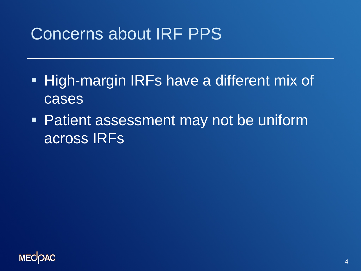## Concerns about IRF PPS

- **High-margin IRFs have a different mix of** cases
- Patient assessment may not be uniform across IRFs

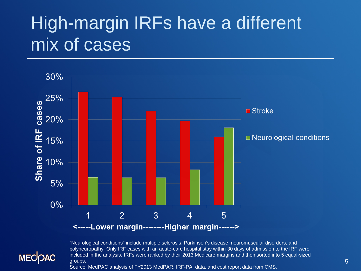## High-margin IRFs have a different mix of cases



**MECOAC** 

"Neurological conditions" include multiple sclerosis, Parkinson's disease, neuromuscular disorders, and polyneuropathy. Only IRF cases with an acute-care hospital stay within 30 days of admission to the IRF were included in the analysis. IRFs were ranked by their 2013 Medicare margins and then sorted into 5 equal-sized groups.

Source: MedPAC analysis of FY2013 MedPAR, IRF-PAI data, and cost report data from CMS.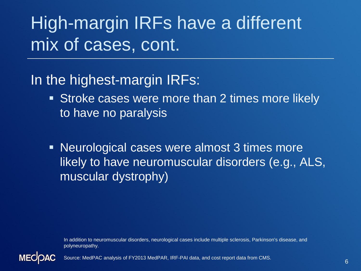# High-margin IRFs have a different mix of cases, cont.

### In the highest-margin IRFs:

- Stroke cases were more than 2 times more likely to have no paralysis
- Neurological cases were almost 3 times more likely to have neuromuscular disorders (e.g., ALS, muscular dystrophy)

In addition to neuromuscular disorders, neurological cases include multiple sclerosis, Parkinson's disease, and polyneuropathy.



Source: MedPAC analysis of FY2013 MedPAR, IRF-PAI data, and cost report data from CMS.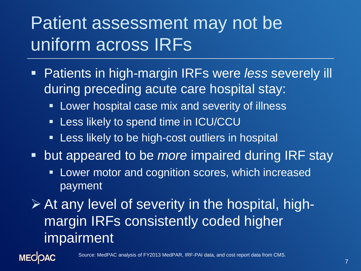# Patient assessment may not be uniform across IRFs

- Patients in high-margin IRFs were *less* severely ill during preceding acute care hospital stay:
	- **EXED Lower hospital case mix and severity of illness**
	- **EXT** Less likely to spend time in ICU/CCU
	- **EXT** Less likely to be high-cost outliers in hospital
- **Dut appeared to be** *more* **impaired during IRF stay** 
	- **Lower motor and cognition scores, which increased** payment

 At any level of severity in the hospital, highmargin IRFs consistently coded higher impairment

**MECOAC**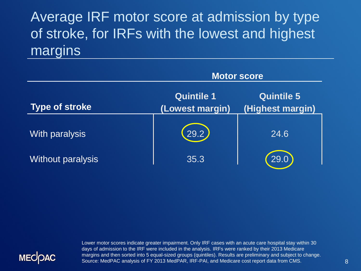### Average IRF motor score at admission by type of stroke, for IRFs with the lowest and highest margins

|                          | <b>Motor score</b>                   |                                       |  |
|--------------------------|--------------------------------------|---------------------------------------|--|
| <b>Type of stroke</b>    | <b>Quintile 1</b><br>(Lowest margin) | <b>Quintile 5</b><br>(Highest margin) |  |
| With paralysis           | (29.2)                               | 24.6                                  |  |
| <b>Without paralysis</b> | 35.3                                 | 29.0                                  |  |



Lower motor scores indicate greater impairment. Only IRF cases with an acute care hospital stay within 30 days of admission to the IRF were included in the analysis. IRFs were ranked by their 2013 Medicare margins and then sorted into 5 equal-sized groups (quintiles). Results are preliminary and subject to change. Source: MedPAC analysis of FY 2013 MedPAR, IRF-PAI, and Medicare cost report data from CMS.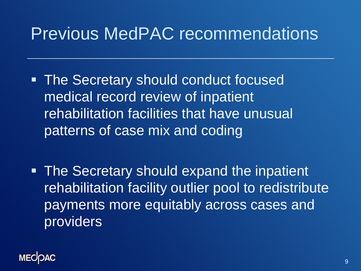## Previous MedPAC recommendations

- **The Secretary should conduct focused** medical record review of inpatient rehabilitation facilities that have unusual patterns of case mix and coding
- The Secretary should expand the inpatient rehabilitation facility outlier pool to redistribute payments more equitably across cases and providers

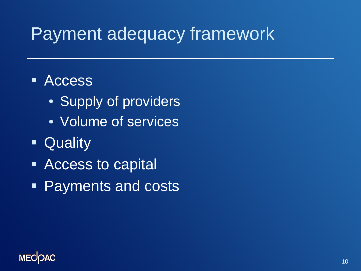## Payment adequacy framework

### **E** Access

- Supply of providers
- Volume of services
- **C**uality
- Access to capital
- Payments and costs

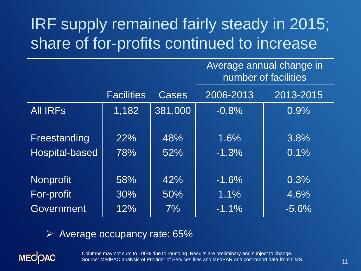## IRF supply remained fairly steady in 2015; share of for-profits continued to increase

#### Average annual change in number of facilities

|                 | <b>Facilities</b> | Cases   | 2006-2013 | 2013-2015 |
|-----------------|-------------------|---------|-----------|-----------|
| <b>AII IRFS</b> | 1,182             | 381,000 | $-0.8%$   | 0.9%      |
|                 |                   |         |           |           |
| Freestanding    | 22%               | 48%     | 1.6%      | 3.8%      |
| Hospital-based  | 78%               | 52%     | $-1.3%$   | 0.1%      |
|                 |                   |         |           |           |
| Nonprofit       | 58%               | 42%     | $-1.6%$   | 0.3%      |
| For-profit      | 30%               | 50%     | 1.1%      | 4.6%      |
| Government      | 12%               | 7%      | $-1.1%$   | $-5.6%$   |

#### Average occupancy rate: 65%

**MECOAC** 

Columns may not sum to 100% due to rounding. Results are preliminary and subject to change. Source: MedPAC analysis of Provider of Services files and MedPAR and cost report data from CMS.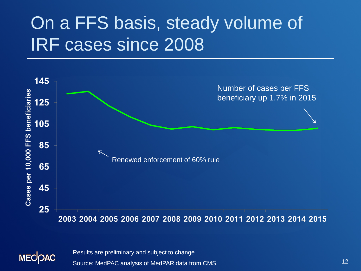## On a FFS basis, steady volume of IRF cases since 2008





Results are preliminary and subject to change.

Source: MedPAC analysis of MedPAR data from CMS.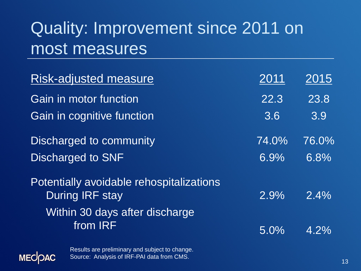## Quality: Improvement since 2011 on most measures

| <b>Risk-adjusted measure</b>                                | 2011          | <u> 2015 </u> |
|-------------------------------------------------------------|---------------|---------------|
| Gain in motor function<br><b>Gain in cognitive function</b> | 22.3<br>3.6   | 23.8<br>3.9   |
| Discharged to community<br>Discharged to SNF                | 74.0%<br>6.9% | 76.0%<br>6.8% |
| Potentially avoidable rehospitalizations<br>During IRF stay | 2.9%          | $2.4\%$       |
| Within 30 days after discharge<br>from IRF                  | $5.0\%$       | $4.2\%$       |

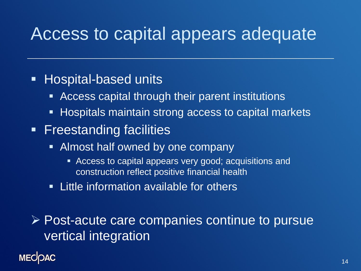## Access to capital appears adequate

### **Hospital-based units**

- Access capital through their parent institutions
- **Hospitals maintain strong access to capital markets**
- **Freestanding facilities** 
	- **Almost half owned by one company** 
		- Access to capital appears very good; acquisitions and construction reflect positive financial health
	- **Example information available for others**

 $\triangleright$  Post-acute care companies continue to pursue vertical integration

#### **MECIOAC**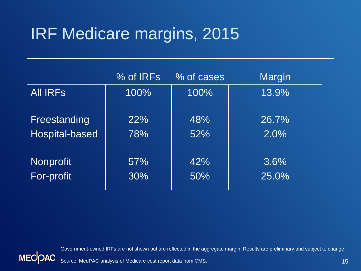## IRF Medicare margins, 2015

|                  | $\%$ of IRFs | % of cases | <b>Margin</b> |
|------------------|--------------|------------|---------------|
| <b>AII IRFS</b>  | 100%         | 100%       | 13.9%         |
|                  |              |            |               |
| Freestanding     | 22%          | 48%        | 26.7%         |
| Hospital-based   | 78%          | 52%        | 2.0%          |
|                  |              |            |               |
| <b>Nonprofit</b> | 57%          | 42%        | 3.6%          |
| For-profit       | 30%          | 50%        | 25.0%         |
|                  |              |            |               |





Source: MedPAC analysis of Medicare cost report data from CMS.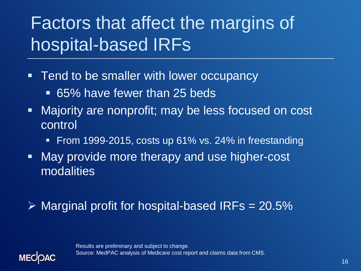# Factors that affect the margins of hospital-based IRFs

- **Tend to be smaller with lower occupancy** 
	- 65% have fewer than 25 beds
- Majority are nonprofit; may be less focused on cost control
	- From 1999-2015, costs up 61% vs. 24% in freestanding
- May provide more therapy and use higher-cost modalities

### $\triangleright$  Marginal profit for hospital-based IRFs = 20.5%

Results are preliminary and subject to change. Source: MedPAC analysis of Medicare cost report and claims data from CMS.

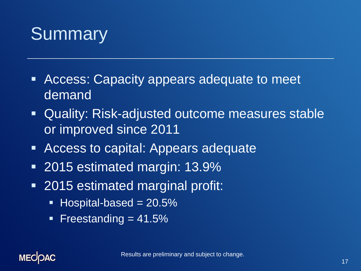# **Summary**

- **EXTERGERITHS Access: Capacity appears adequate to meet** demand
- Quality: Risk-adjusted outcome measures stable or improved since 2011
- Access to capital: Appears adequate
- 2015 estimated margin: 13.9%
- **2015 estimated marginal profit:** 
	- $\blacksquare$  Hospital-based = 20.5%
	- Freestanding  $= 41.5\%$

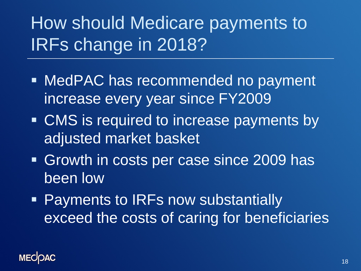# How should Medicare payments to IRFs change in 2018?

- **MedPAC has recommended no payment** increase every year since FY2009
- **EXTERNAL EXTERNAL EXTERNAL EXTERNAL EXTERNAL EXTERNAL EXTERNAL EXTERNAL EXTINGL** adjusted market basket
- Growth in costs per case since 2009 has been low
- **Payments to IRFs now substantially** exceed the costs of caring for beneficiaries